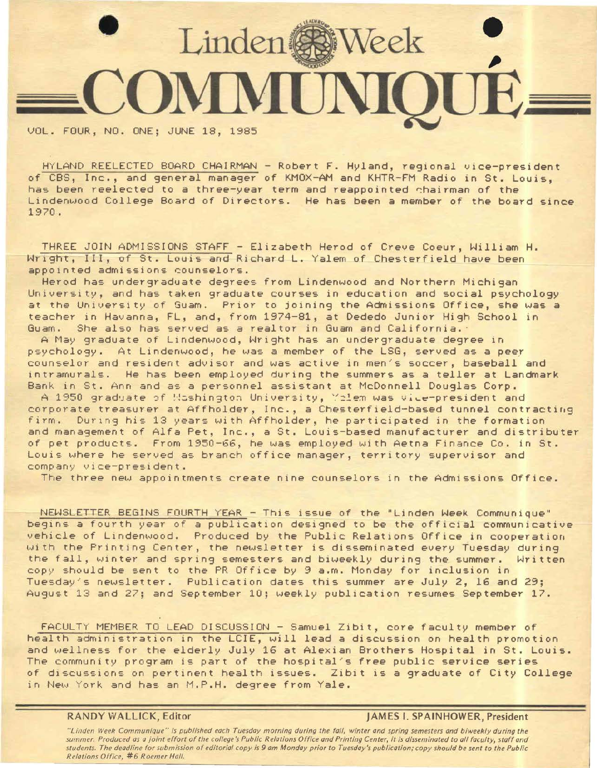

VOL. FOUR, NO. ONE; JUNE 18, 1985

HYLAND REELECTED BOARD CHAIRMAN - Robert F. Hyland, regional vice-president of CBS, Inc., and general manager of KMOX-AM and KHTR-FM Radio in St. Louis, has been reelected to a three-year term and reappointed chairman of the Lindenwood College Board of Directors. He has been a member of the board since 1970.

THREE JOIN ADMISSIONS STAFF - Elizabeth Herod of Creve Coeur, William H. Wright, III, of St. Louis and Richard L. Yalem of Chesterfield have been appointed admissions counselors.

Herod has undergraduate degrees from Lindenwood and Northern Michigan University, and has taken graduate courses in education and social psychology at the University of Guam. Prior to joining the Admissions Office, she was a teacher in Havanna, FL, and, from 1974-81, at Dededo Junior High School in Guam. She also has served as a realtor in Guam and California.

A May graduate of Lindenwood, Wright has an undergraduate degree in psychology. At Lindenwood, he was a member of the LSG, served as a peer counselor and resident advisor and was active in men/s soccer, baseball and intramurals. He has been employed during the summers as a teller at Landmark Bank in St. Ann and as a personnel assistant at McDonnell Douglas Corp.

A 1950 graduate of Hashington University, Yelem was vice-president and corporate treasurer at Affholder, Inc., a Chesterfield-based tunnel contracting firm. During his 13 years with Affholder, he participated in the formation and management of Alfa Pet, Inc., a St. Louis-based manufacturer and distributer of pet products. From 1950-66, he was employed with Aetna Finance Co. in St. Louis where he served as branch office manager, territory supervisor and company vice-president.

The three new appointments create nine counselors in the Admissions Office.

NEWSLETTER BEGINS FOURTH YEAR - This issue of the "Linden Week Communique" begins a fourth year of a publication designed to be the official communicative vehicle of Lindenwood. Produced by the Public Relations Office in cooperation with the Printing Center, the newsletter is disseminated every Tuesday during the fall, winter and spring semesters and biweekly during the summer. Written copy should be sent to the PR Office by 9 a.m. Monday for inclusion in Tuesday's newsletter. Publication dates this summer are July 2, 16 and 29; August 13 and 27; and September 10; weekly publication resumes September 17.

FACULTY MEMBER TO LEAD DISCUSSION - Samuel Zibit, core faculty *member* of health administration in the LCIE, will lead a discussion on health promotion and wellness for the elderly July 16 at Alexian Brothers Hospital in St. Louis. The community program is part of the hospital's free public service series of discussions on pertinent health issues. Zibit is a graduate of City College in New York and has an M.P.H. degree from Yale.

**RANDY WALLICK,** Editor **JAMES** I. **SPAINHOWER, President** 

*"Linden Week Communique" is published each Tuesday morning during the fall, winter and spring semesters and biweekly during the summer. Produced as a joint effort of the college's Public Relations Office and Printing Center, it is disseminated to all faculty, staff and students. The deadline for submission of editorial copy is 9 am Monday prior to Tuesday's publication; copy should be sent to the Public Relations Office, #6 Roemer Hall.*